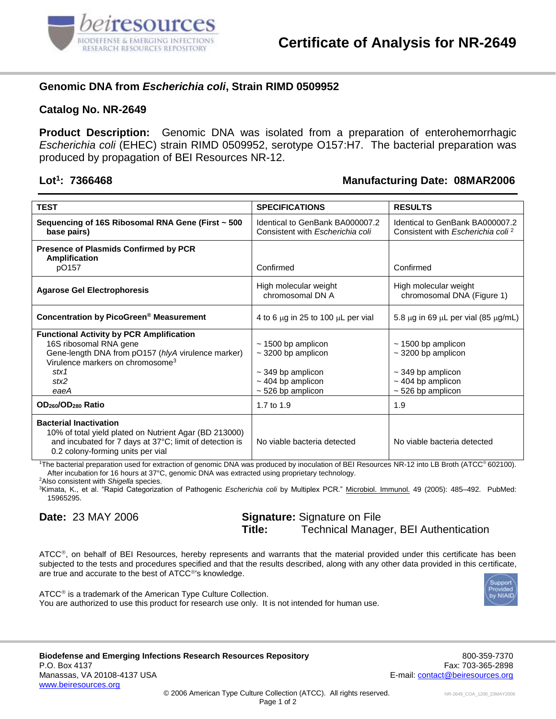

## **Genomic DNA from** *Escherichia coli***, Strain RIMD 0509952**

#### **Catalog No. NR-2649**

**Product Description:** Genomic DNA was isolated from a preparation of enterohemorrhagic *Escherichia coli* (EHEC) strain RIMD 0509952, serotype O157:H7. The bacterial preparation was produced by propagation of BEI Resources NR-12.

#### **Lot<sup>1</sup>**

### **: 7366468 Manufacturing Date: 08MAR2006**

| <b>TEST</b>                                                                                                                                                                                             | <b>SPECIFICATIONS</b>                                                                                                        | <b>RESULTS</b>                                                                                                               |
|---------------------------------------------------------------------------------------------------------------------------------------------------------------------------------------------------------|------------------------------------------------------------------------------------------------------------------------------|------------------------------------------------------------------------------------------------------------------------------|
| Sequencing of 16S Ribosomal RNA Gene (First ~ 500<br>base pairs)                                                                                                                                        | Identical to GenBank BA000007.2<br>Consistent with Escherichia coli                                                          | Identical to GenBank BA000007.2<br>Consistent with Escherichia coli <sup>2</sup>                                             |
| <b>Presence of Plasmids Confirmed by PCR</b><br><b>Amplification</b><br>pO157                                                                                                                           | Confirmed                                                                                                                    | Confirmed                                                                                                                    |
| <b>Agarose Gel Electrophoresis</b>                                                                                                                                                                      | High molecular weight<br>chromosomal DN A                                                                                    | High molecular weight<br>chromosomal DNA (Figure 1)                                                                          |
| Concentration by PicoGreen <sup>®</sup> Measurement                                                                                                                                                     | 4 to 6 $\mu$ g in 25 to 100 $\mu$ L per vial                                                                                 | 5.8 $\mu$ g in 69 $\mu$ L per vial (85 $\mu$ g/mL)                                                                           |
| <b>Functional Activity by PCR Amplification</b><br>16S ribosomal RNA gene<br>Gene-length DNA from pO157 (hlyA virulence marker)<br>Virulence markers on chromosome <sup>3</sup><br>stx1<br>stx2<br>eaeA | $\sim$ 1500 bp amplicon<br>$\sim$ 3200 bp amplicon<br>$\sim$ 349 bp amplicon<br>$\sim$ 404 bp amplicon<br>$~526$ bp amplicon | $\sim$ 1500 bp amplicon<br>$\sim$ 3200 bp amplicon<br>$\sim$ 349 bp amplicon<br>$\sim$ 404 bp amplicon<br>$~526$ bp amplicon |
| OD <sub>260</sub> /OD <sub>280</sub> Ratio                                                                                                                                                              | 1.7 to 1.9                                                                                                                   | 1.9                                                                                                                          |
| <b>Bacterial Inactivation</b><br>10% of total yield plated on Nutrient Agar (BD 213000)<br>and incubated for 7 days at 37°C; limit of detection is<br>0.2 colony-forming units per vial                 | No viable bacteria detected                                                                                                  | No viable bacteria detected                                                                                                  |

The bacterial preparation used for extraction of genomic DNA was produced by inoculation of BEI Resources NR-12 into LB Broth (ATCC® 602100). After incubation for 16 hours at 37°C, genomic DNA was extracted using proprietary technology.

<sup>2</sup>Also consistent with *Shigella* species.

<sup>3</sup>Kimata, K., et al. "Rapid Categorization of Pathogenic *Escherichia coli* by Multiplex PCR." Microbiol. Immunol. 49 (2005): 485–492. PubMed: 15965295.

**Date:** 23 MAY 2006 **Signature:** Signature on File **Title:** Technical Manager, BEI Authentication

ATCC®, on behalf of BEI Resources, hereby represents and warrants that the material provided under this certificate has been subjected to the tests and procedures specified and that the results described, along with any other data provided in this certificate, are true and accurate to the best of ATCC®'s knowledge.



 $ATCC<sup>®</sup>$  is a trademark of the American Type Culture Collection. You are authorized to use this product for research use only. It is not intended for human use.